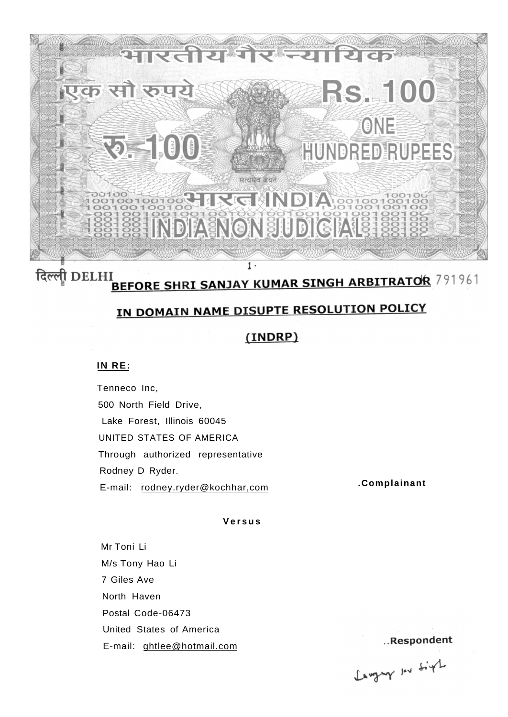

## दिल्ली DELHI I<br>BEFORE SHRI SANJAY KUMAR SINGH ARBITRATOR 791961

# IN DOMAIN NAME DISUPTE RESOLUTION POLICY

## (INDRP)

#### **IN RE:**

Tenneco Inc, 500 North Field Drive, Lake Forest, Illinois 60045 UNITED STATES OF AMERICA Through authorized representative Rodney D Ryder. E-mail: rodney.ryder@kochhar,com **.Complainant** 

#### **Versu s**

Mr Toni Li M/s Tony Hao Li 7 Giles Ave North Haven Postal Code-06473 United States of America E-mail: ghtlee@hotmail.com

..Respondent

Languy In Sigh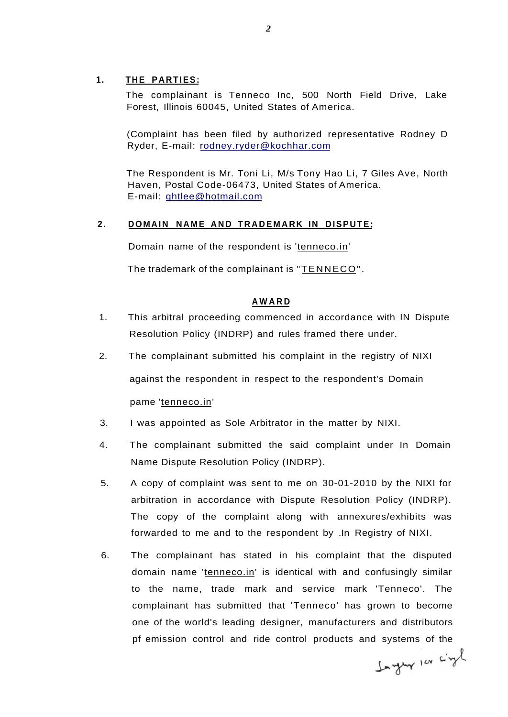#### **1. THE PARTIES:**

The complainant is Tenneco Inc, 500 North Field Drive, Lake Forest, Illinois 60045, United States of America.

(Complaint has been filed by authorized representative Rodney D Ryder, E-mail: [rodney.ryder@kochhar.com](mailto:rodney.ryder@kochhar.com)

The Respondent is Mr. Toni Li, M/s Tony Hao Li, 7 Giles Ave, North Haven, Postal Code-06473, United States of America. E-mail: [ghtlee@hotmail.com](mailto:ghtlee@hotmail.com)

#### 2. DOMAIN NAME AND TRADEMARK IN DISPUTE;

Domain name of the respondent is 'tenneco.in'

The trademark of the complainant is "TENNECO".

#### **AWAR D**

- 1. This arbitral proceeding commenced in accordance with IN Dispute Resolution Policy (INDRP) and rules framed there under.
- 2. The complainant submitted his complaint in the registry of NIXI against the respondent in respect to the respondent's Domain pame 'tenneco.in'
- 3. I was appointed as Sole Arbitrator in the matter by NIXI.
- 4. The complainant submitted the said complaint under In Domain Name Dispute Resolution Policy (INDRP).
- 5. A copy of complaint was sent to me on 30-01-2010 by the NIXI for arbitration in accordance with Dispute Resolution Policy (INDRP). The copy of the complaint along with annexures/exhibits was forwarded to me and to the respondent by .In Registry of NIXI.
- 6. The complainant has stated in his complaint that the disputed domain name 'tenneco.in' is identical with and confusingly similar to the name, trade mark and service mark 'Tenneco'. The complainant has submitted that 'Tenneco' has grown to become one of the world's leading designer, manufacturers and distributors pf emission control and ride control products and systems of the

Ingly 100 cityl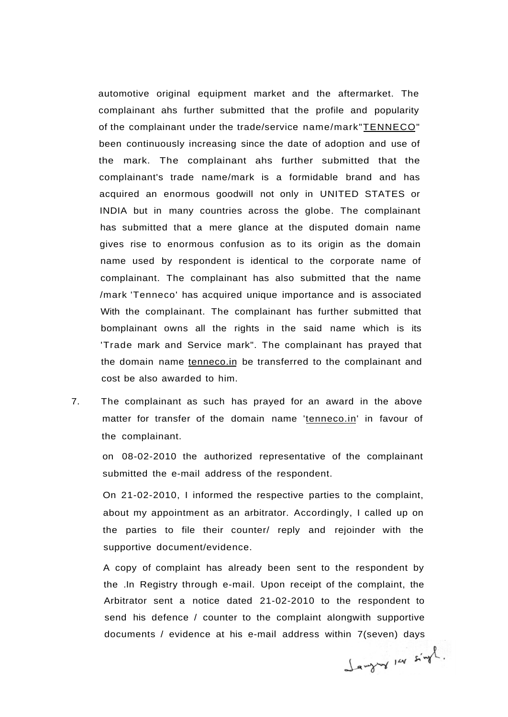automotive original equipment market and the aftermarket. The complainant ahs further submitted that the profile and popularity of the complainant under the trade/service name/mark"TENNECO" been continuously increasing since the date of adoption and use of the mark. The complainant ahs further submitted that the complainant's trade name/mark is a formidable brand and has acquired an enormous goodwill not only in UNITED STATES or INDIA but in many countries across the globe. The complainant has submitted that a mere glance at the disputed domain name gives rise to enormous confusion as to its origin as the domain name used by respondent is identical to the corporate name of complainant. The complainant has also submitted that the name /mark 'Tenneco' has acquired unique importance and is associated With the complainant. The complainant has further submitted that bomplainant owns all the rights in the said name which is its 'Trade mark and Service mark". The complainant has prayed that the domain name tenneco.in be transferred to the complainant and cost be also awarded to him.

7. The complainant as such has prayed for an award in the above matter for transfer of the domain name 'tenneco.in' in favour of the complainant.

on 08-02-2010 the authorized representative of the complainant submitted the e-mail address of the respondent.

On 21-02-2010, I informed the respective parties to the complaint, about my appointment as an arbitrator. Accordingly, I called up on the parties to file their counter/ reply and rejoinder with the supportive document/evidence.

A copy of complaint has already been sent to the respondent by the .In Registry through e-mail. Upon receipt of the complaint, the Arbitrator sent a notice dated 21-02-2010 to the respondent to send his defence / counter to the complaint alongwith supportive documents / evidence at his e-mail address within 7(seven) days

Jangury 14 singl.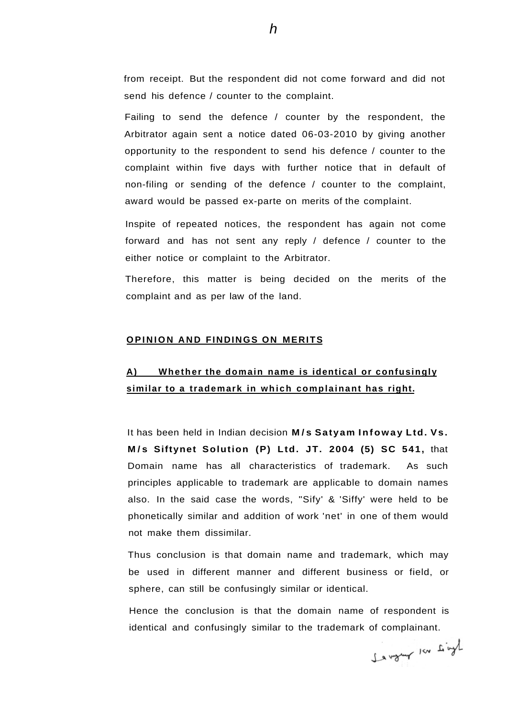from receipt. But the respondent did not come forward and did not send his defence / counter to the complaint.

Failing to send the defence / counter by the respondent, the Arbitrator again sent a notice dated 06-03-2010 by giving another opportunity to the respondent to send his defence / counter to the complaint within five days with further notice that in default of non-filing or sending of the defence / counter to the complaint, award would be passed ex-parte on merits of the complaint.

Inspite of repeated notices, the respondent has again not come forward and has not sent any reply / defence / counter to the either notice or complaint to the Arbitrator.

Therefore, this matter is being decided on the merits of the complaint and as per law of the land.

#### **OPINION AND FINDINGS ON MERITS**

## **A) Whether the domain name is identical or confusingly similar to a trademark in which complainant has right.**

It has been held in Indian decision M/s Satyam Infoway Ltd. Vs. **M / s Siftynet Solution (P) Ltd. JT. 2004 (5) SC 541,** that Domain name has all characteristics of trademark. As such principles applicable to trademark are applicable to domain names also. In the said case the words, "Sify' & 'Siffy' were held to be phonetically similar and addition of work 'net' in one of them would not make them dissimilar.

Thus conclusion is that domain name and trademark, which may be used in different manner and different business or field, or sphere, can still be confusingly similar or identical.

Hence the conclusion is that the domain name of respondent is identical and confusingly similar to the trademark of complainant.

Kind not you and